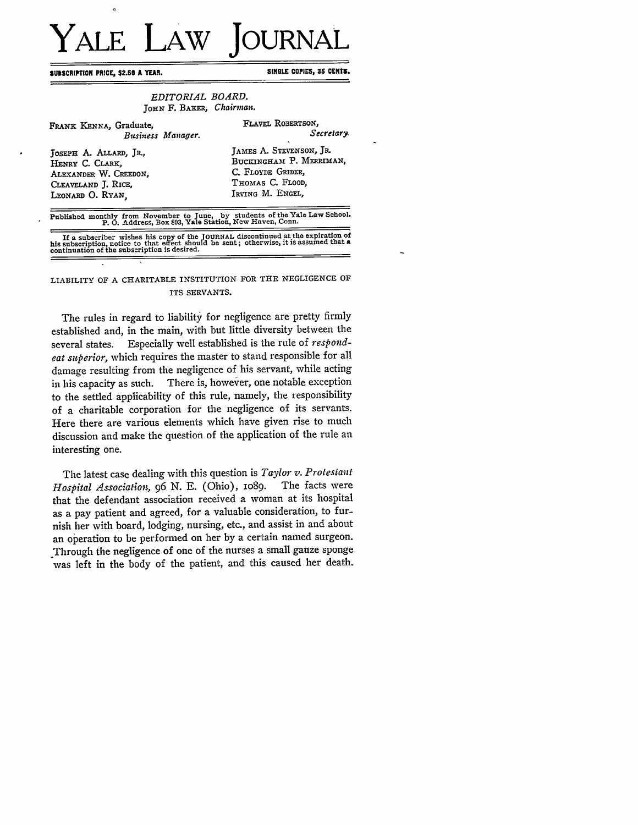# ALE LAW

**SUISCRIPTIOH PRICE, \$2.65 A YEAR. SINGLE COPIES, 35 CENTS.**

 $\ddot{\phantom{a}}$ 

*EDITORIAL BOARD.* **JOHN** F. BAKER, *Chairman.*

| FRANK KENNA, Graduate, | FLAVEL ROBERTSON,       |
|------------------------|-------------------------|
| Business Manager.      | Secretary.              |
| JOSEPH A. ALLARD, JR., | JAMES A. STEVENSON, JR. |
| HENRY C. CLARK,        | BUCKINGHAM P. MERRIMAN, |
| ALEXANDER W. CREEDON,  | C. FLOYDE GRIDER,       |
| CLEAVELAND J. RICE,    | THOMAS C. FLOOD,        |
| LEONARD O. RYAN,       | IRVING M. ENGEL,        |

**P . Address, Box 893, Yale Station,** New **Haven, Conn.**

If a subscriber wishes his copy of the JOURNAL discontinued at the expiration of<br>his subscription, notice to that effect should be sent; otherwise, it is assumed that a<br>continuation of the subscription is desired.

#### LIABILITY OF A CHARITABLE INSTITUTION FOR THE **NEGLIGENCE** OF ITS SERVANTS.

The rules in regard to liability for negligence are pretty firmly established and, in the main, with but little diversity between the several states. Especially well established is the rule of *respondeat superior,* which requires the master to stand responsible for all damage resulting from the negligence of his servant, while acting in his capacity as such. There is, however, one notable exception to the settled applicability of this rule, namely, the responsibility of a charitable corporation for the negligence of its servants. Here there are various elements which have given rise to much discussion and make the question of the application of the rule an interesting one.

The latest case dealing with this question is *Taylor v. Protestant*<br>*pshital Association*, 06 N. E. (Ohio), 1089. The facts were *Hospital Association,* 96 N. E. (Ohio), 1089. that the defendant association received a woman at its hospital as a pay patient and agreed, for a valuable consideration, to furnish her with board, lodging, nursing, etc., and assist in and about an operation to be performed on her by a certain named surgeon. .Through the negligence of one of the nurses a small gauze sponge was left in the body of the patient, and this caused her death.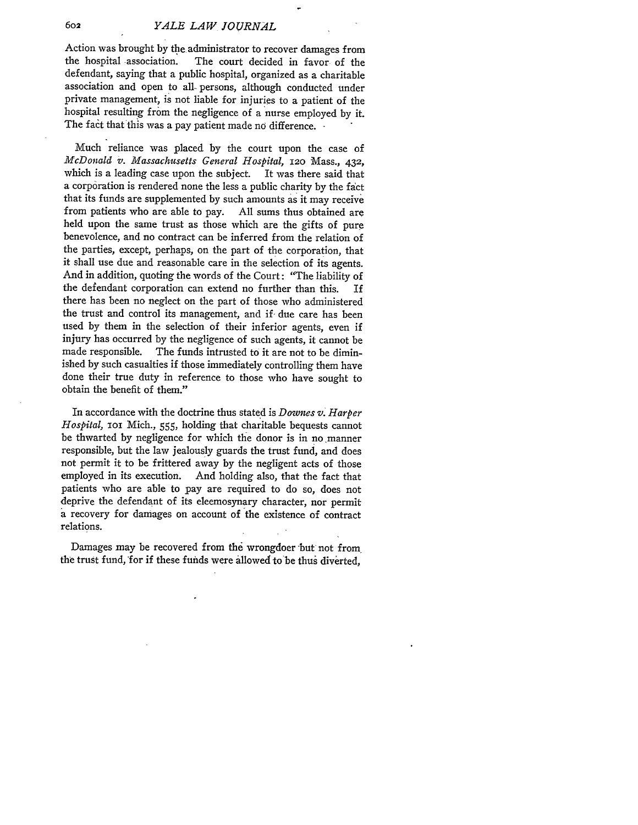#### *YALE LAW JOURNAL*

Action was brought by the administrator to recover damages from the hospital association. The court decided in favor of the defendant, saying that a public hospital, organized as a charitable association and open to all- persons, although conducted under private management, is not liable for injuries to a patient of the hospital resulting from the negligence of a nurse employed by it. The fact that this was a pay patient made no difference.

Much reliance was placed by the court upon the case of *McDonald v. Massachusetts General Hospital,* **12o** Mass., 432, which is a leading case upon the subject. It was there said that a corporation is rendered none the less a public charity **by** the fact that its funds are supplemented **by** such amounts as it may receive from patients who are able to pay. All sums thus obtained are held upon the same trust as those which are the gifts of pure benevolence, and no contract can be inferred from the relation of the parties, except, perhaps, on the part of the corporation, that it shall use due and reasonable care in the selection of its agents. And in addition, quoting the words of the Court: "The liability of the defendant corporation can extend no further than this. If there has been no neglect on the part of those who administered the trust and control its management, and if- due care has been used **by** them in the selection of their inferior agents, even if injury has occurred **by** the negligence of such agents, it cannot be made responsible. The funds intrusted to it are not to be diminished **by** such casualties if those immediately controlling them have done their true duty in reference to those who have sought to obtain the benefit of them."

In accordance with the doctrine thus stated is *Downes v. Harper Hospital,* ioi Mich., 555, holding that charitable bequests cannot be thwarted **by** negligence for which the donor is in no manner responsible, but the law jealously guards the trust fund, and does not permit it to be frittered away **by** the negligent acts of those employed in its execution. And holding also, that the fact that patients who are able to pay are required to do so, does not deprive the defendant of its eleemosynary character, nor permit a recovery for damages on account of the existence of contract relations.

Damages may be recovered from the wrongdoer but not from the trust fund, for if these funds were allowed to be thus diverted,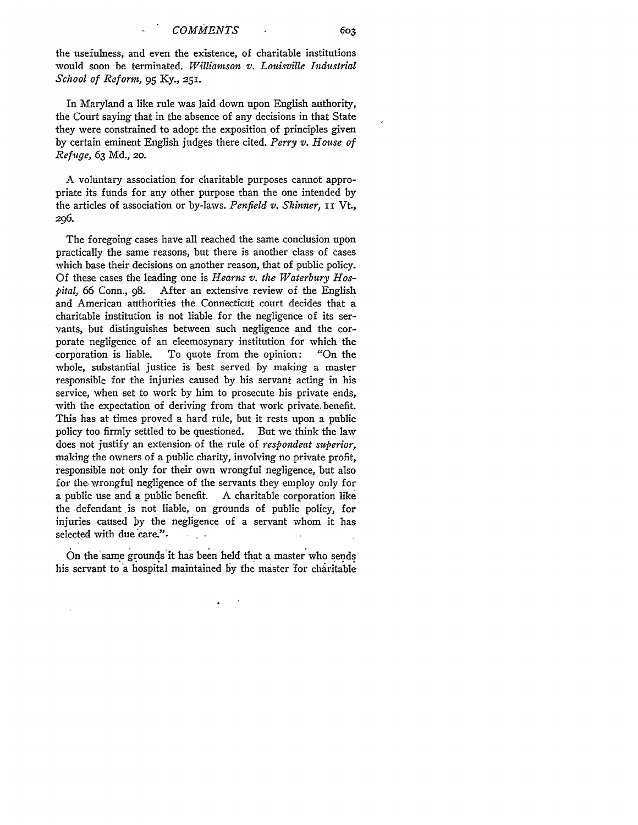the usefulness, and even the existence, of charitable institutions would soon be terminated. *Williamson v. Louisville Industrial School of Reform, 95* Ky., **251.**

In Maryland a like rule was laid down upon English authority, the Court saying that in the absence of any decisions in that State they were constrained to adopt the exposition of principles given by certain eminent English judges there cited. *Perry v. House of Refuge,* 63 Md., **20.**

A voluntary association for charitable purposes cannot appropriate its funds for any other purpose than the one intended by the articles of association or by-laws. *Penfield v. Skinner,* ii Vt., 296.

The foregoing cases have all reached the same conclusion upon practically the same reasons, but there is another class of cases which base their decisions on another reason, that of public policy. Of these cases the leading one is *Hearns v. the Waterbury Hospital,* 66 Conn., 98. After an extensive review of the English and American authorities the Connecticut court decides that a charitable institution is not liable for the negligence of its servants, but distinguishes between such negligence and the corporate negligence of an eleemosynary institution for which the corporation is liable. To quote from the opinion: "On the whole, substantial justice is best served by making a master responsible for the injuries caused by his servant acting in his service, when set to work by him to prosecute his private ends, with the expectation of deriving from that work private. benefit. This has at times proved a hard rule, but it rests upon a public policy too firmly settled to be questioned. But we think the law does not justify an extension. of the rule of *respondeat superior,* making the owners of a public charity, involving no private profit, responsible not only for their own wrongful negligence, but also for the- wrongful negligence of the servants they employ only for a public use and a public benefit. A charitable corporation like the defendant is not liable, on grounds of public policy, for injuries caused by the negligence of a servant whom it has selected with due care.".  $\mathcal{L}^{\text{max}}$ 

On the same grounds it has been held that a master who sends his servant to a hospital maintained by the master Tor charitable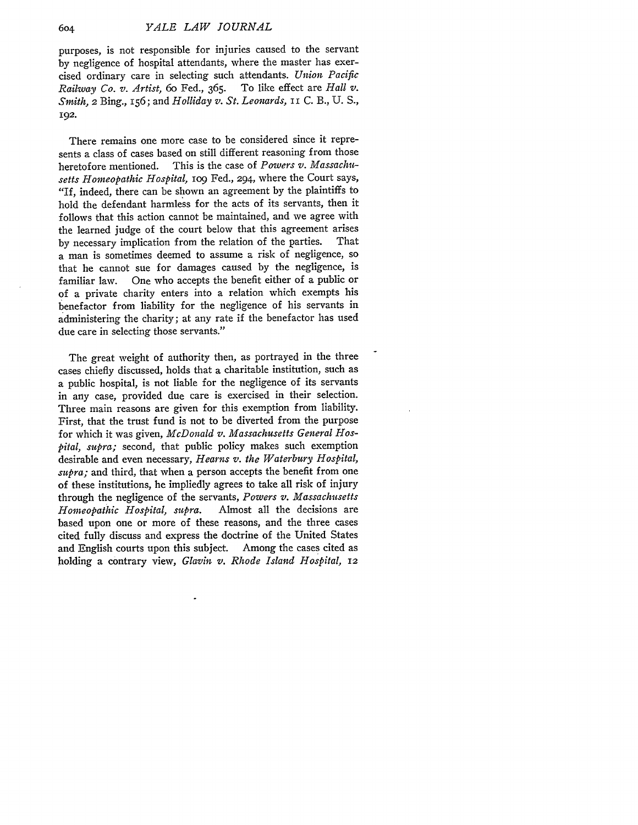purposes, is not responsible for injuries caused to the servant by negligence of hospital attendants, where the master has exercised ordinary care in selecting such attendants. *Union Pacific Railway Co. v. Artist,* 6o Fed., 365. To like effect are *Hall v. Smith,* **2** Bing., 156; and *Holliday v. St. Leonards,* ii C. B., **U.** S., **192.**

There remains one more case to be considered since it represents a class of cases based on still different reasoning from those<br>heretofore mentioned. This is the case of Powers  $v$ . Massachu-This is the case of *Powers v. Massachu*setts Homeopathic Hospital, 109 Fed., 294, where the Court says, "If, indeed, there can be shown an agreement by the plaintiffs to hold the defendant harmless for the acts of its servants, then it follows that this action cannot be maintained, and we agree with the learned judge of the court below that this agreement arises<br>by necessary implication from the relation of the parties. That by necessary implication from the relation of the parties. a man is sometimes deemed to assume a risk of negligence, so that he cannot sue for damages caused by the negligence, is familiar law. One who accepts the benefit either of a public or of a private charity enters into a relation which exempts his benefactor from liability for the negligence of his servants in administering the charity; at any rate if the benefactor has used due care in selecting those servants."

The great weight of authority then, as portrayed in the three cases chiefly discussed, holds that a charitable institution, such as a public hospital, is not liable for the negligence of its servants in any case, provided due care is exercised in their selection. Three main reasons are given for this exemption from liability. First, that the trust fund is not to be diverted from the purpose for which it was given, *McDonald v. Massachusetts General Hospital, supra;* second, that public policy makes such exemption desirable and even necessary, *Hearns v. the Waterbury Hospital, supra;* and third, that when a person accepts the benefit from one of these institutions, he impliedly agrees to take all risk of injury through the negligence of the servants, *Powers v. Massachusetts Homeopathic Hospital, supra.* Almost all the decisions are based upon one or more of these reasons, and the three cases cited fully discuss and express the doctrine of the United States and English courts upon this subject. Among the cases cited as holding a contrary view, *Glavin v. Rhode Island Hospital,* 12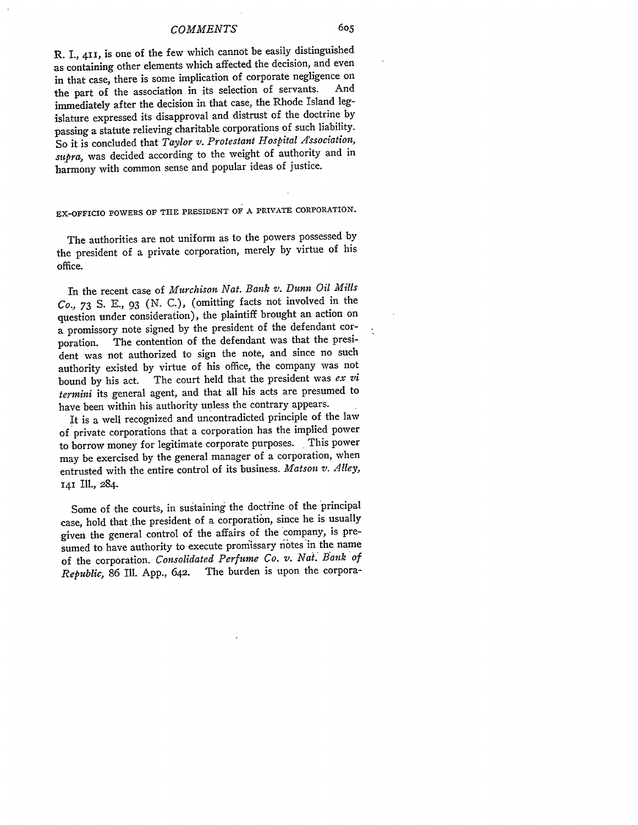R. I., 411, is one of the few which cannot be easily distinguished as containing other elements which affected the decision, and even in that case, there is some implication of corporate negligence on<br>the earth of the association in its selection of servants. And the part of the association in its selection of servants. immediately after the decision in that case, the Rhode Island legislature expressed its disapproval and distrust of the doctrine **by** passing a statute relieving charitable corporations of such liability. So it is concluded that *Taylor v. Protestant Hospital A'ssociation, supra,* was decided according to the weight of authority and in harmony with common sense and popular ideas of justice.

EX-OFFICIO POWERS **OF** THE PRESIDENT OF **A** PRIVATE CORPORATION.

The authorities are not uniform as to the powers possessed by the president of a private corporation, merely by virtue of his office.

In the recent case of *Murchison Nat. Bank v. Dunn Oil Mills Co.,* **73 S. E., 93** (N. C.), (omitting facts not involved in the question under consideration), the plaintiff brought an action on a promissory note signed by the president of the defendant corporation. The contention of the defendant was that the president was not authorized to sign the note, and since no such authority existed by virtue of his office, the company was not bound by his act. The court held that the president was  $ex$  vi The court held that the president was *ex vi termini* its general agent, and that all his acts are presumed to have been within his authority unless the contrary appears.

It is a well recognized and uncontradicted principle of the law of private corporations that a corporation has the implied power to borrow money for legitimate corporate purposes. This power may be exercised **by** the general manager of a corporation, when entrusted with the entire control of its business. *Matson v. Alley,* **141** Ill., 284.

Some of the courts, in sustaining the doctrine of the principal case, hold that the president of a corporation, since he is usually given the general control of the affairs of the company, is presumed to have authority to execute promissary notes in the name of the corporation. *Consolidated Perfume Co. v. Nat. Bank of* Republic, 86 Ill. App., 642. The burden is upon the corpora-The burden is upon the corpora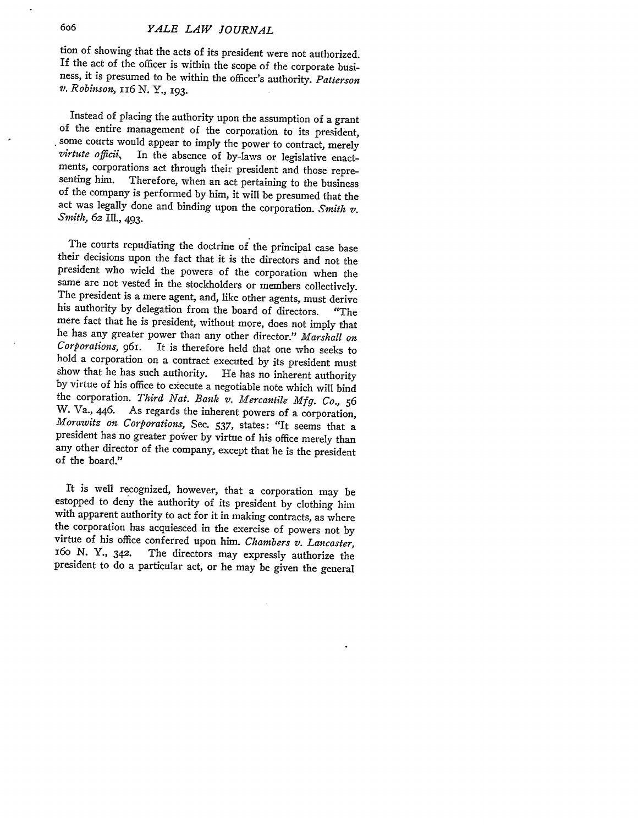tion of showing that the acts of its president were not authorized. If the act of the officer is within the scope of the corporate business, it is presumed to be within the officer's authority. *Patterson v. Robinson, 116* **N.** Y., **193.**

Instead of placing the authority upon the assumption of a grant of the entire management of the corporation to its president, some courts would appear to imply the power to contract, merely *virtute officii,* In the absence of by-laws or legislative enactments, corporations act through their president and those repre- senting him. Therefore, when an act pertaining to the business of the company is performed **by** him, it will be presumed that the act was legally done and binding upon the corporation. *Smith v. Smith, 62* Ill., 493.

The courts repudiating the doctrine of the principal case base their decisions upon the fact that it is the directors and not the president who wield the powers of the corporation when the The president is a mere agent, and, like other agents, must derive his authority by delegation from the board of directors. "The mere fact that he is president, without more, does not imply that he has any greater power than any other director." *Marshall on* It is therefore held that one who seeks to hold a corporation on a contract executed by its president must<br>show that he has such authority. He has no inherent authority show that he has such authority. He has no inherent authority by virtue of his office to execute a negotiable note which will bind the corporation. *Third Nat. Bank v. Mercantile Mfg. Co., 56* W. Va., 446. As regards the inherent powers of a corporation, *Morawitz on Corporations,* Sec. 537, states: "It seems that a president has no greater power by virtue of his office merely than any other director of the company, except that he is the president of the board."

ft is well recognized, however, that a corporation may be estopped to deny the authority of its president by clothing him with apparent authority to act for it in making contracts, as where the corporation has acquiesced in the exercise of powers not by virtue of his office conferred upon him. *Chambers v. Lancaster,* The directors may expressly authorize the president to do a particular act, or he may be given the general

606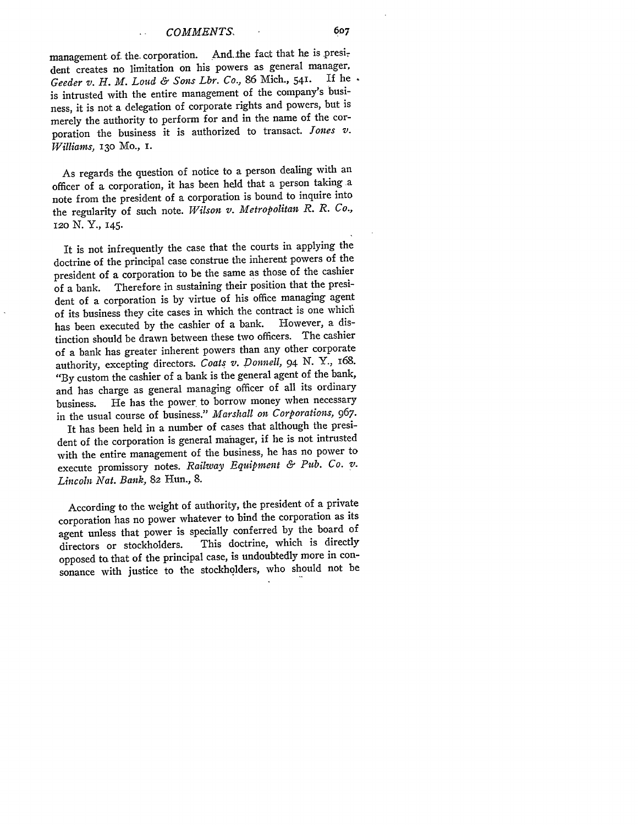management of. the. corporation. And.the fact that he is presi. dent creates no limitation on his powers as general manager, *Geeder v. H. M. Loud & Sons Lbr. Co.,* 86 Mich., 541. If he is intrusted with the entire management of the company's business, it is not a delegation of corporate rights and powers, but is merely the authority to perform for and in the name of the corporation the business it is authorized to transact. *Jones v. Williams,* **130** Mo., **I.**

As regards the question of notice to a person dealing with an officer of a corporation, it has been held that a person taking a note from the president of a corporation is bound to inquire into the regularity of such note. *Wilson v. Metropolitan R. R. Co.,* 12o N. Y., 145.

It is not infrequently the case that the courts in applying the doctrine of the principal case construe the inherent powers of the president of a corporation to be the same as those of the cashier of a bank. Therefore in sustaining their position that the president of a corporation is by virtue of his office managing agent of its business they cite cases in which the contract is one which<br>has been executed by the cashier of a bank. However, a dishas been executed by the cashier of a bank. tinction should be drawn between these two officers. The cashier of a bank has greater inherent powers than any other corporate authority, excepting directors. *Coats v. Donnell, 94* N. Y., 168. "By custom the cashier of a bank is the general agent of the bank, and has charge as general managing officer of all its ordinary business. He has the power to borrow money when necessary in the usual course of business." *Marshall on Corporations, 967.*

It has been held in a number of cases that although the president of the corporation is general mahager, if he is not intrusted with the entire management of the business, he has no power to execute promissory notes. *Railway Equipment & Pub. Co. v. Lincoli Nat. Bank,* 82 Hun., **8.**

According to the weight of authority, the president of a private corporation has no power whatever to bind the corporation as its agent unless that power is specially conferred by the board of directors or stockholders. This doctrine, which is directly This doctrine, which is directly opposed *to.* that of the principal case, is undoubtedly more in consonance with justice to the stockholders, who should not be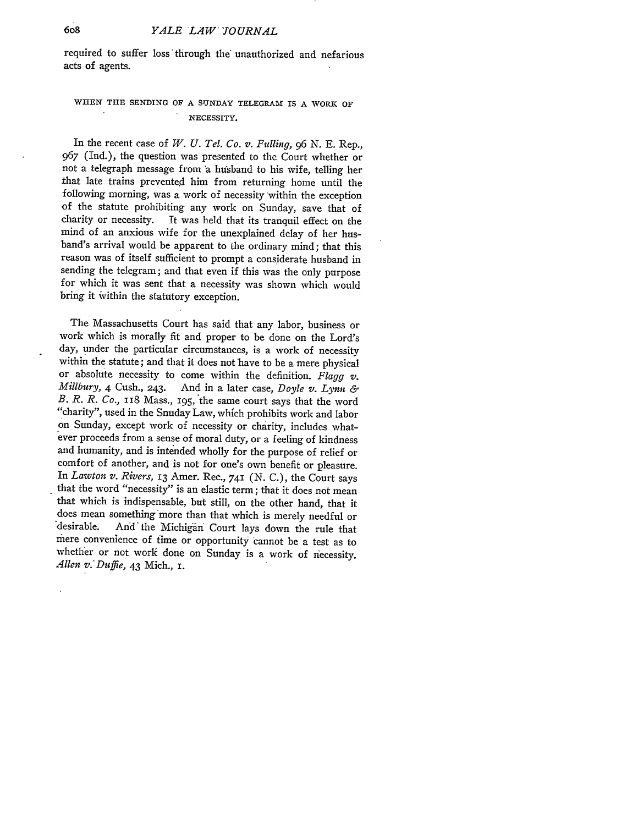required to suffer loss through the' unauthorized and nefarious acts of agents.

### **WHEN** THE **SENDING** OF **A SUNDAY** TELEGRAM IS **A** WORK OF NECESSITY.

In the recent case of *W. U. Tel. Co. v. Fulling,* 96 N. **E.** Rep., 967 (Ind.), the question was presented to the Court whether or not a telegraph message from 'a husband to his wife, telling her that late trains prevented him from returning home until the following morning, was a work of necessity within the exception of the statute prohibiting any work on Sunday, save that of charity or necessity. It was held that its tranquil effect on the mind of an anxious wife for the unexplained delay of her husband's arrival would be apparent to the ordinary mind; that this reason was of itself sufficient to prompt a considerate husband in sending the telegram; and that even if this was the only purpose for which it was sent that a necessity was shown which would bring it within the statutory exception.

The Massachusetts Court has said that any labor, business or work which is morally fit and proper to be done on the Lord's day, under the particular circumstances, is a work of necessity within the statute; and that it does not have to be a mere physical or absolute necessity to come within the definition. *Flagg v. Millbury,* 4 Cush., 243. And in a later case, *Doyle v. Lynn &* B. R. R. Co., 118 Mass., 195, the same court says that the word "charity", used in the Snuday Law, which prohibits work and labor on Sunday, except work of necessity or charity, includes whatever proceeds from a sense of moral duty, or a feeling of kindness and humanity, and is intended wholly for the purpose of relief or comfort of another, and is not for one's own benefit or pleasure. In *Lawton v. Rivers,* 13 Amer. Rec., 741 (N. C.), the Court says that the word "necessity" is an elastic term; that it does not mean that which is indispensable, but still, on the other hand, that it does mean something more than that which is merely needful or desirable. And the Michigan Court lays down the rule that mere convenience of time or opportunity 'cannot be a test as to whether or not work done on Sunday is a work of necessity. *Allen v.'Duffie,* 43 Mich., I.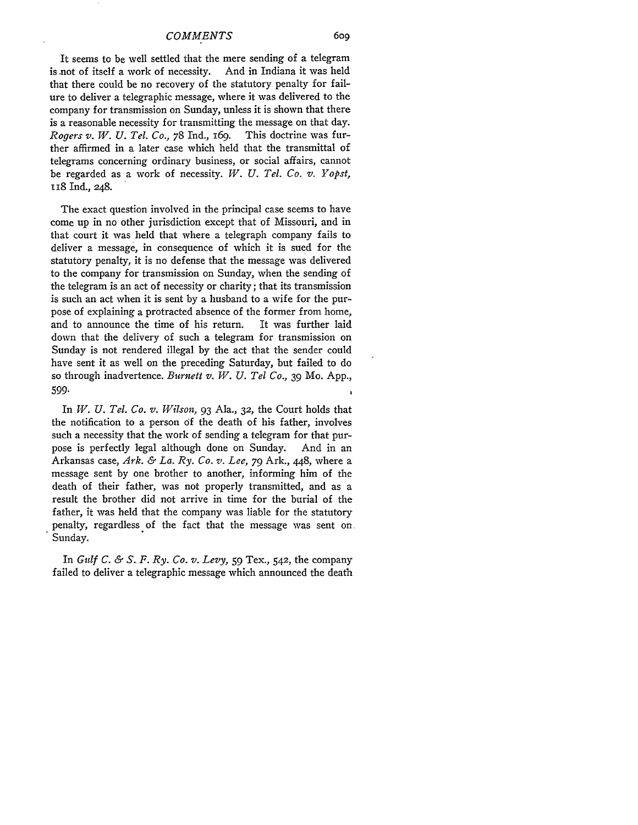It seems to be well settled that the mere sending of a telegram isnot of itself a work of necessity. And in Indiana it was held that there could be no recovery of the statutory penalty for failure to deliver a telegraphic message, where it was delivered to the company for transmission on Sunday, unless it is shown that there is a reasonable necessity for transmitting the message on that day. *Rogers v. W. U. Tel. Co.,* 78 Ind., 169. This doctrine was further affirmed in a later case which held that the transmittal of telegrams concerning ordinary business, or social affairs, cannot be regarded as a work of necessity. *W. U. Tel. Co. v. Yopst,* **118** Ind., 248.

The exact question involved in the principal case seems to have come up in no other jurisdiction except that of Missouri, and in that court it was held that where a telegraph company fails to deliver a message, in consequence of which it is sued for the statutory penalty, it is no defense that the message was delivered to the company for transmission on Sunday, when the sending of the telegram is an act of necessity or charity; that its transmission is such an act when it is sent by a husband to a wife for the purpose of explaining a protracted absence of the former from home, and to announce the time of his return. It was further laid down that the delivery of such a telegram for transmission on Sunday is not rendered illegal by the act that the sender could have sent it as well on the preceding Saturday, but failed to do so through inadvertence. *Burnett v. W. U. Tel Co.,* 39 Mo. App., 599.

In *W. U. Tel. Co. v. Wilson,* 93 Ala., **32,** the Court holds that the notification to a person **of** the death of his father, involves such a necessity that the work of sending a telegram for that purpose is perfectly legal although done on Sunday. And in an Arkansas case, *Ark. & La. Ry. Co. v. Lee,* 79 Ark., 448, where a message sent by one brother to another, informing him of the death of their father, was not properly transmitted, and as a result the brother did not arrive in time for the burial of the father, it was held that the company was liable for the statutory penalty, regardless of the fact that the message was sent on. Sunday.

In *Gulf C. & S. F. Ry. Co. v. Levy,* **59** Tex., 542, the company failed to deliver a telegraphic message which announced the death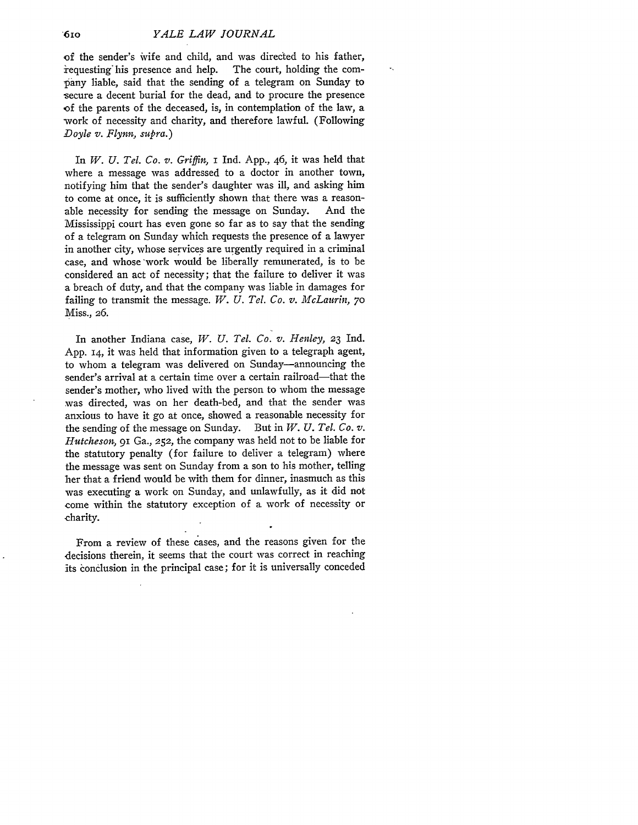of the sender's 'vife and child, and was directed to his father, iequesting his presence and help. The court, holding the company liable, said that the sending of a telegram on Sunday to secure a decent burial for the dead, and to procure the presence of the parents of the deceased, is, in contemplation of the law, a -work of necessity and charity, and therefore lawful. (Following *Doyle v. Flynn, supra.)*

In *W. U. Tel. Co. v. Griffin,* I Ind. App., 46, it was held that where a message was addressed to a doctor in another town, notifying him that the sender's daughter was ill, and asking him to come at once, it is sufficiently shown that there was a reasonable necessity for sending the message on Sunday. And the Mississippi court has even gone so far as to say that the sending of a telegram on Sunday which requests the presence of a lawyer in another city, whose services are urgently required in a criminal case, and whose work would be liberally remunerated, is to be considered an act of necessity; that the failure to deliver it was a breach of duty, and that the company was liable in damages for failing to transmit the message. *W. U. Tel. Co. v. McLaurin, 70* Miss., 26.

In another Indiana case, *W. U. Tel. Co. v. Henley,* **23** Ind. App. 14, it was held that information given to a telegraph agent, to whom a telegram was delivered on Sunday-announcing the sender's arrival at a certain time over a certain railroad—that the sender's mother, who lived with the person to whom the message was directed, was on her death-bed, and that the sender was anxious to have it go at once, showed a reasonable necessity for the sending of the message on Sunday. But in *W. U. Tel. Co. v. Hutcheson,* 91 Ga., **252,** the company was held not to be liable for the statutory penalty (for failure to deliver a telegram) where the message was sent on Sunday from a son to his mother, telling her that a friend would be with them for dinner, inasmuch as this was executing a work on Sunday, and unlawfully, as it did not come within the statutory exception of a work of necessity or charity.

From a review of these cases, and the reasons given for the -decisions therein, it seems that the court was correct in reaching its conclusion in the principal case; for it is universally conceded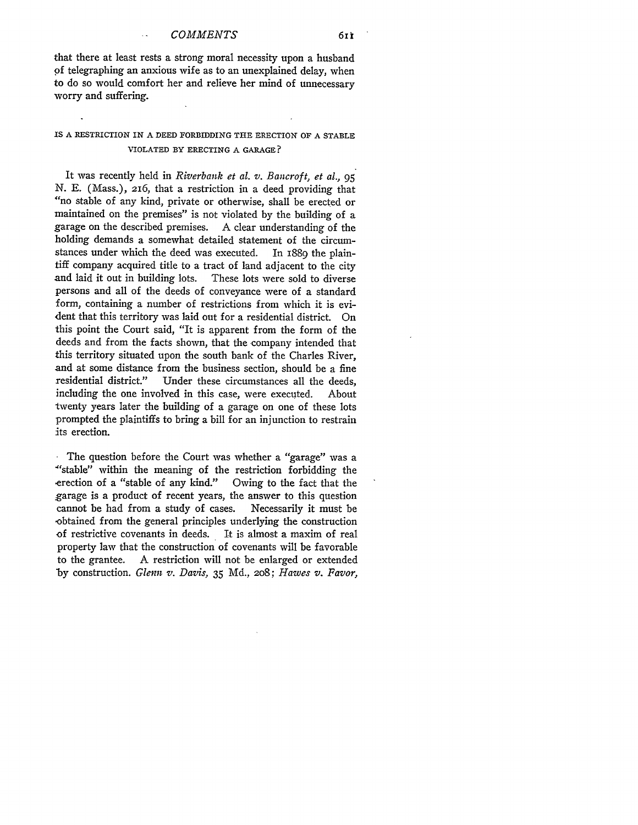611

that there at least rests a strong moral necessity upon a husband of telegraphing an anxious wife as to an unexplained delay, when to do so would comfort her and relieve her mind of unnecessary worry and suffering.

#### **IS A** RESTRICTION **IN A DEED** FORBIDDING **THE** ERECTION OF **A STABLE** VIOLATED BY ERECTING **A GARAGE?**

It was recently held in *Riverbank et al. v. Bancroft, et al., 95* N. E. (Mass.), *216,* that a restriction in a deed providing that "'no stable of any kind, private or otherwise, shall be erected or maintained on the premises" is not violated by the building of a garage on the described premises. A clear understanding of the holding demands a somewhat detailed statement of the circumstances under which the deed was executed. In 1880 the plaintiff company acquired title to a tract of land adjacent to the city and laid it out in building lots. These lots were sold to diverse persons and all of the deeds of conveyance were of a standard form, containing a number of restrictions from which it is evident that this territory was laid out for a residential district. On this point the Court said, "It is apparent from the form of the deeds and from the facts shown, that the company intended that this territory situated upon the south bank of the Charles River, and at some distance from the business section, should be a fine residential district." Under these circumstances all the deeds, including the one involved in this case, were executed. About twenty years later the building of a garage on one of these lots prompted the plaintiffs to bring a bill for an injunction to restrain its erection.

ċ, The question before the Court was whether a "garage" was a "stable" within the meaning of the restriction forbidding the -erection of a "stable of any kind." Owing to the fact that the garage is a product of recent years, the answer to this question cannot be had from a study of cases. Necessarily it must be ,obtained from the general principles underlying the construction of restrictive covenants in deeds. It is almost a maxim of real property law that the construction of covenants will be favorable to the grantee. A restriction will not be enlarged or extended **by** construction. *Glenn v. Davis,* 35 **Md., 208;** *Hawes v. Favor,*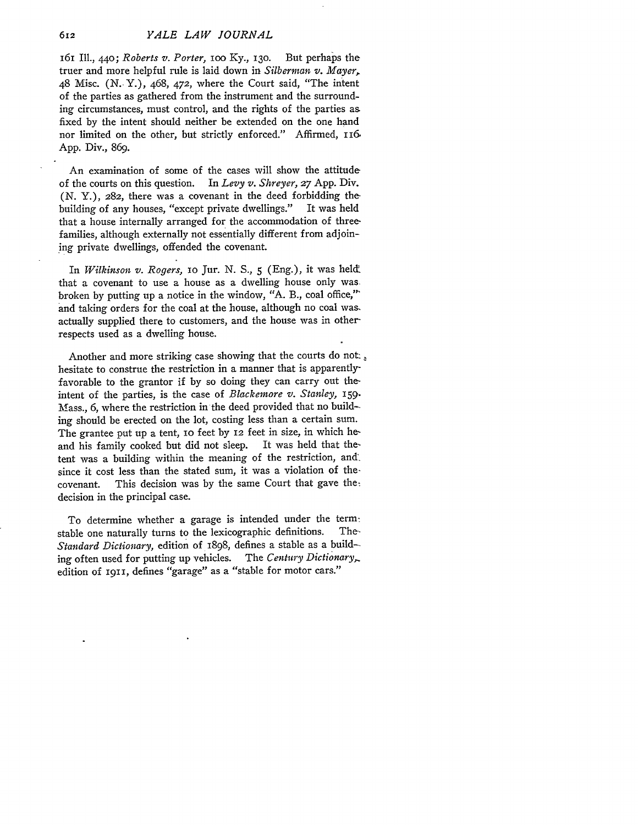161 Ill., **44o;** *Roberts v. Porter,* ioo Ky., 13o. But perhaps the truer and more helpful rule is laid down in *Silberman v. Mayer,* 48 Misc. **(N.** Y.), 468, *472,* where the Court said, "The intent of the parties as gathered from the instrument and the surrounding circumstances, must control, and the rights of the parties as. fixed **by** the intent should neither be extended on the one hand nor limited on the other, but strictly enforced." Affirmed, **ii6** App. Div., 869.

An examination of some of the cases will show the attitude of the courts on this question. In *Levy v. Shreyer, 27* **App.** Div. **(N.** Y.), *282,* there was a covenant in the deed forbidding thebuilding of any houses, "except private dwellings." It was held that a house internally arranged for the accommodation of threefamilies, although externally not essentially different from adjoining private dwellings, offended the covenant.

In *Wilkinson v. Rogers,* 10 Jur. N. S., 5 (Eng.), it was held that a covenant to use a house as a dwelling house only was. broken by putting up a notice in the window, "A. B., coal office," and taking orders for the coal at the house, although no coal was. actually supplied there to customers, and the house was in other respects used as a dwelling house.

Another and more striking case showing that the courts do not. hesitate to construe the restriction in a manner that is apparentlyfavorable to the grantor if by so doing they can carry out theintent of the parties, is the case of *Blackemore v. Stanley,* **159.** Mass., 6, where the restriction in the deed provided that no building should be erected on the lot, costing less than a certain sum. The grantee put up a tent, 10 feet by 12 feet in size, in which heand his family cooked but did not sleep. It was held that thetent was a building within the meaning of the restriction, and, since it cost less than the stated sum, it was a violation of thecovenant. This decision was by the same Court that gave the: decision in the principal case.

To determine whether a garage is intended under the term-<br>ble one naturally turns to the lexicographic definitions. Thestable one naturally turns to the lexicographic definitions. *Standard Dictionary,* edition of 1898, defines a stable as a build-<br>ing often used for putting up vehicles. The *Century Dictionary*, ing often used for putting up vehicles. edition of 1911, defines "garage" as a "stable for motor cars."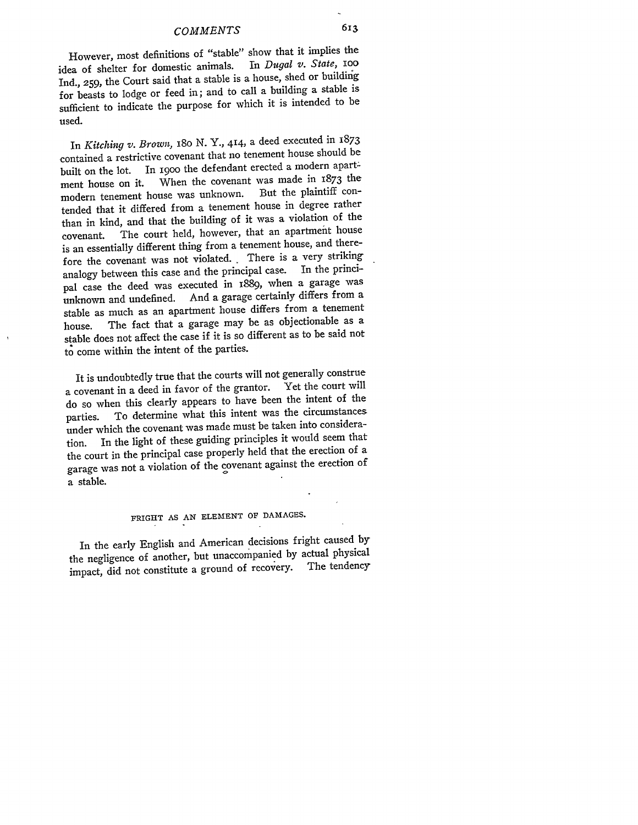However, most definitions of "stable" show that it implies the<br>en of shelter for domestic animals. In Dugal v. State, 100 idea of shelter for domestic animals. Ind., **259,** the Court said that a stable is a house, shed or building for beasts to lodge or feed in; and to call a building a stable is sufficient to indicate the purpose for which it is intended to be used.

In *Kitching v. Brown, i8o* N. Y., 414, a deed executed in **<sup>1873</sup>** contained a restrictive covenant that no tenement house should be built on the lot. In 1900 the defendant erected a modern apart-<br>ment house on it. When the covenant was made in 1873 the When the covenant was made in 1873 the<br>use was unknown. But the plaintiff conmodern tenement house was unknown. tended that it differed from a tenement house in degree rather than in kind, and that the building of it was a violation of the covenant. The court held, however, that an apartment house is an essentially different thing from a tenement house, and therefore the covenant was not violated. There is a very striking analogy between this case and the principal case. pal case the deed was executed in 1889, when a garage was And a garage certainly differs from a stable as much as an apartment house differs from a tenement house. The fact that a garage may be as objectionable as a stable does not affect the case if it is so different as to be said not to come within the intent of the parties.

It is undoubtedly true that the courts will not generally construe<br>covenant in a deed in favor of the grantor. Yet the court will a covenant in a deed in favor of the grantor. do so when this clearly appears to have been the intent of the parties. To determine what this intent was the circumstances under which the covenant was made must be taken into consideration. In the light of these guiding principles it would seem that the court in the principal case properly held that the erection of a garage was not a violation of the covenant against the erection of a stable.

## FRIGHT **AS AN ELEMENT** OF **DAMAGES.**

In the early English and American decisions fright caused by the negligence of another, but unaccompanied by actual physical<br>integrated and constitute a ground of recovery. The tendency impact, did not constitute a ground of recovery.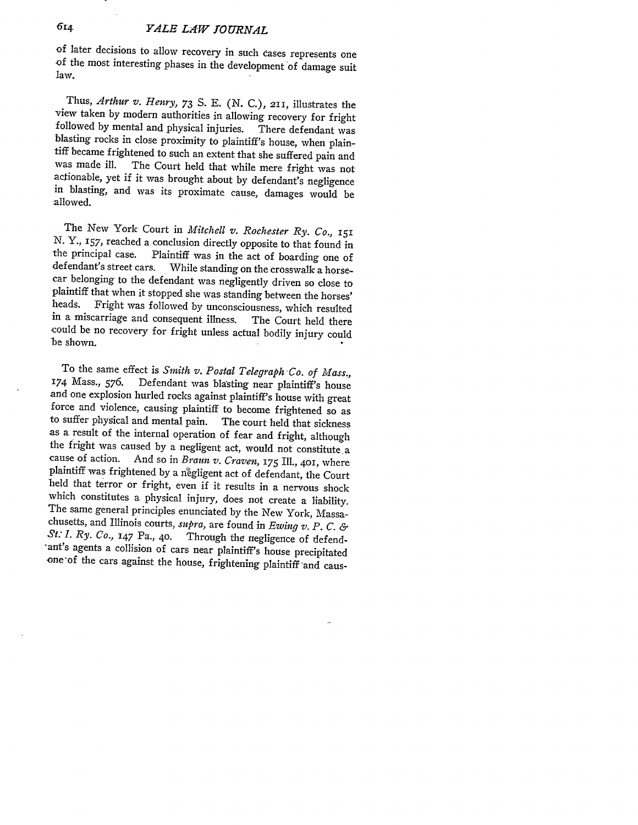of later decisions to allow recovery in such eases represents one of the most interesting phases in the development of damage suit law.

Thus, *Arthur v. Henry, 73* S. E. (N. C.), **211,** illustrates the followed by mental and physical injuries. There defendant was<br>blasting rocks in close proximity to plaintiff's house, when plain-<br>tiff became frightened to such an extent that she suffered pain and<br>was made ill. The Court The Court held that while mere fright was not actionable, yet if it was brought about by defendant's negligence in blasting, and was its proximate cause, damages would be allowed.

The New York Court in *Mitchell v. Rochester Ry. Co., <sup>151</sup>* N. Y., 157, reached a conclusion directly opposite to that found in the principal case. Plaintiff was in the act of boarding one of defendant's street cars. While standing on the crosswalk a horse-While standing on the crosswalk a horsecar belonging to the defendant was negligently driven so close to plaintiff that when it stopped she was standing between the horses' heads. Fright was followed by unconsciousness, which modula Fright was followed by unconsciousness, which resulted in a miscarriage and consequent illness. The Court held there could be no recovery for fright unless actual bodily injury could be shown.

To the same effect is *Smith v. Postal Telegraph Co. of Mass.*, 174 Mass., 576. Defendant was blasting near plaintiff's house and one explosion hurled rocks against plaintiff's house with great force and violence, causing plaintiff to become frightened so as to suffer physical and mental pain. The court held that sickness as a result of the internal operation of fear and fright, although the fright was caused by a negligent act, would not constitute a cause of action. And so in *Braun v. Craven*,  $175$  Ill.,  $401$ , where plaintiff was frightened by a negligent act of defendant, the Court held that terror or fright, even if it results in a nervous shock which constitutes a physical injury, does not create a liability. The same general principles enunciated by the New York, Massachusetts, and Illinois courts, *supra,* are found in *Ewing v. P. C. & .1: 1. Ry. Co., 147* Pa., 40. Through the negligence of defend- 'ant's agents a collision of cars near plaintiff's house precipitated one of the cars against the house, frightening plaintiff and caus-

614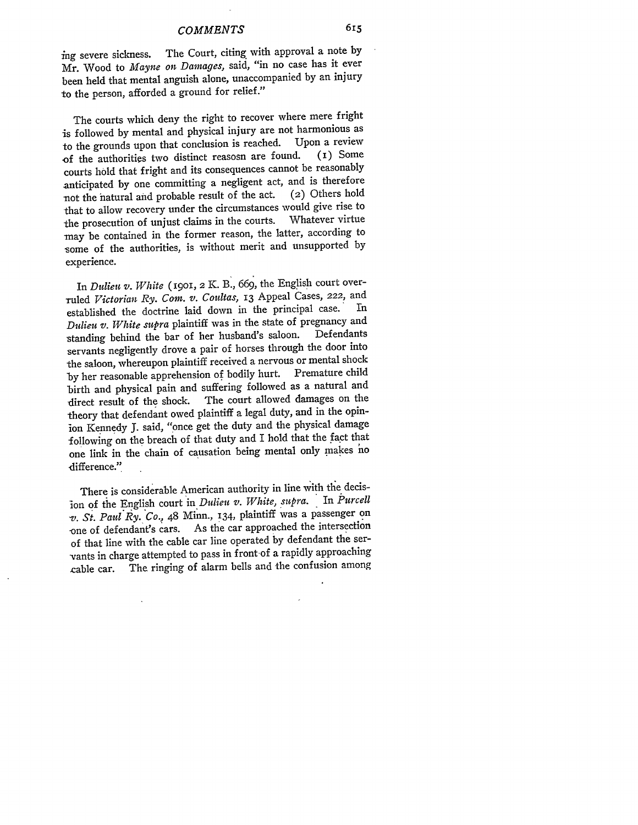ing severe sickness. The Court, citing with approval a note **by** Mr. Wood to *Mayne on Damages,* said, "in no case has it ever been held that mental anguish alone, unaccompanied **by** an injury to the person, afforded a ground for relief."

The courts which deny the right to recover where mere fright is followed by mental and physical injury are not harmonious as<br>to the grounds upon that conclusion is reached. Upon a review to the grounds upon that conclusion is reached. Upon a review<br>of the authorities two distinct reasosn are found.  $(1)$  Some of the authorities two distinct reasosn are found. courts **hold** that fright and its consequences cannot be reasonably anticipated by one committing a negligent act, and is therefore<br>not the natural and probable result of the act. (2) Others hold not the natural and probable result of the act. that to allow recovery under the circumstances would give rise to<br>the prosecution of uniust claims in the courts. Whatever virtue the prosecution of unjust claims in the courts. may be contained in the former reason, the latter, according to some of the authorities, is without merit and unsupported **by** experience.

In *Dulieu v. White* **(19O1, 2** K. B., **669,** the English court overruled *Victorian Ry. Com. v. Coultas,* **13** Appeal Cases, **222,** and established the doctrine laid down in the principal case. *Dulieu v. White supra* plaintiff was in the state of pregnancy and produce behind the bar of her husband's saloon. Defendants standing behind the bar of her husband's saloon. servants negligently drove a pair of horses through the door into the saloon, whereupon plaintiff received a nervous or mental shock<br>by her reasonable apprehension of bodily hurt. Premature child by her reasonable apprehension of bodily hurt. birth and physical pain and suffering followed as a natural and The court allowed damages on the theory that defendant owed plaintiff a legal duty, and in the opinion Kennedy **J.** said, "once get the duty and the physical damage following on the breach of that duty and I hold that the fact that one link in the chain of causation being mental only makes **no** -difference."

There is considerable American authority in line with the decision of **the** English court in *Dulieu v. White, supra.* In *Purcell v. St. Paul Ry. Co.,* 48 Minn., **134,** plaintiff was a passenger on -one of defendant's cars. As the car approached the intersection of that line with the cable car line operated **by** defendant the servants in charge attempted to pass in front-of a rapidly approaching cable car. The ringing of alarm bells and the confusion among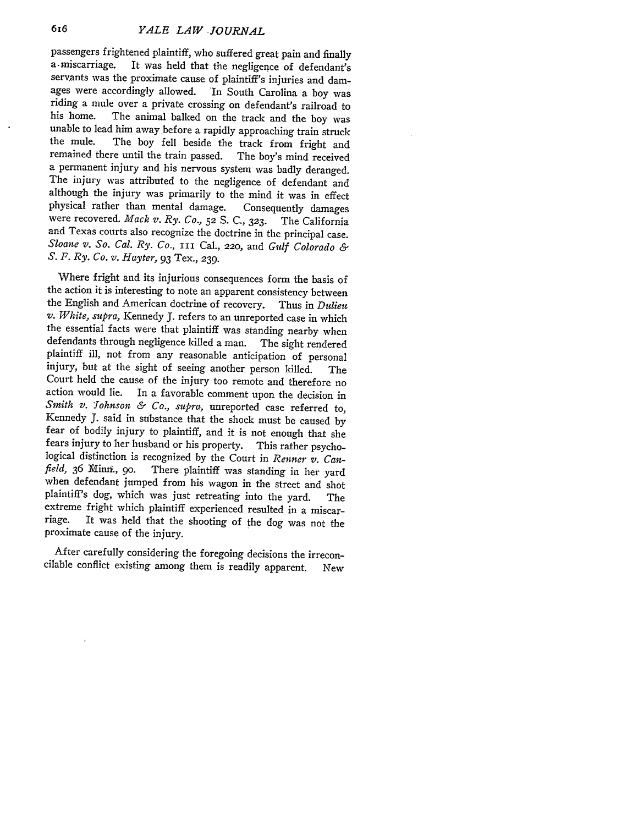passengers frightened plaintiff, who suffered great pain and finally<br>a-miscarriage. It was held that the negligence of defendant's It was held that the negligence of defendant's servants was the proximate cause of plaintiff's injuries and damages were accordingly allowed. In South Carolina a boy was riding a mule over a private crossing on defendant's railroad to The animal balked on the track and the boy was unable to lead him away before a rapidly approaching train struck<br>the mule. The hoy fell beside the track from fright and The boy fell beside the track from fright and remained there until the train passed. The boy's mind received a permanent injury and his nervous system was badly deranged. The injury was attributed to the negligence of defendant and although the injury was primarily to the mind it was in effect physical rather than mental damage. Consequently damages were recovered. *Mack v. Ry. Co.,* **52** S. C., **323.** The California and Texas courts also recognize the doctrine in the principal case. *Sloane v. So. Cal. Ry. Co., iii* Cal., *220,* and *Gulf Colorado & S. F. Ry. Co. v. Hayter,* 93 Tex., **239.**

Where fright and its injurious consequences form the basis of the action it is interesting to note an apparent consistency between the English and American doctrine of recovery. Thus in *Dulieu v. White, supra,* Kennedy J. refers to an unreported case in which the essential facts were that plaintiff was standing nearby when defendants through negligence killed a man. The sight rendered plaintiff ill, not from any reasonable anticipation of personal injury, but at the sight of seeing another person killed. The Court held the cause of the injury too remote and therefore no<br>action would lie. In a favorable comment upon the decision in In a favorable comment upon the decision in *Smith v. Johnson & Co., supra,* unreported case referred to, Kennedy J. said in substance that the shock must be caused by fear of bodily injury to plaintiff, and it is not enough that she fears injury to her husband or his property. This rather psychological distinction is recognized by the Court in *Renner v. Can*when defendant jumped from his wagon in the street and shot plaintiff's dog, which was just retreating into the yard. The extreme fright which plaintiff experienced resulted in a miscar-<br>riage. It was held that the shooting of the dog was not the It was held that the shooting of the dog was not the proximate cause of the injury.

After carefully considering the foregoing decisions the irreconcilable conflict existing among them is readily apparent. New